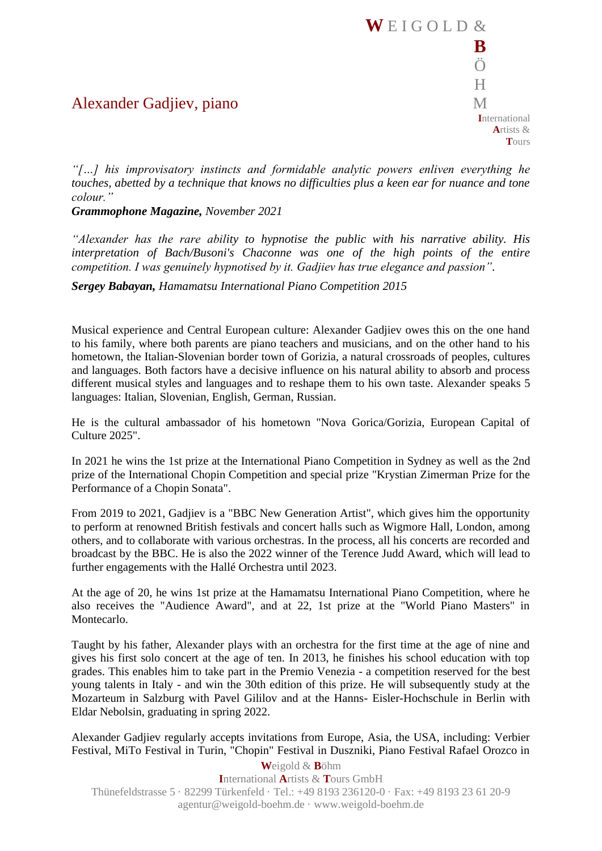## **E I G O L D**  $\&$ **B** Ö  $H$ **I**nternational **A**rtists &

**T**ours

Alexander Gadjiev, piano M

*"[…] his improvisatory instincts and formidable analytic powers enliven everything he touches, abetted by a technique that knows no difficulties plus a keen ear for nuance and tone colour."*

*Grammophone Magazine, November 2021*

*"Alexander has the rare ability to hypnotise the public with his narrative ability. His interpretation of Bach/Busoni's Chaconne was one of the high points of the entire competition. I was genuinely hypnotised by it. Gadjiev has true elegance and passion".*

*Sergey Babayan, Hamamatsu International Piano Competition 2015*

Musical experience and Central European culture: Alexander Gadjiev owes this on the one hand to his family, where both parents are piano teachers and musicians, and on the other hand to his hometown, the Italian-Slovenian border town of Gorizia, a natural crossroads of peoples, cultures and languages. Both factors have a decisive influence on his natural ability to absorb and process different musical styles and languages and to reshape them to his own taste. Alexander speaks 5 languages: Italian, Slovenian, English, German, Russian.

He is the cultural ambassador of his hometown "Nova Gorica/Gorizia, European Capital of Culture 2025".

In 2021 he wins the 1st prize at the International Piano Competition in Sydney as well as the 2nd prize of the International Chopin Competition and special prize "Krystian Zimerman Prize for the Performance of a Chopin Sonata".

From 2019 to 2021, Gadjiev is a "BBC New Generation Artist", which gives him the opportunity to perform at renowned British festivals and concert halls such as Wigmore Hall, London, among others, and to collaborate with various orchestras. In the process, all his concerts are recorded and broadcast by the BBC. He is also the 2022 winner of the Terence Judd Award, which will lead to further engagements with the Hallé Orchestra until 2023.

At the age of 20, he wins 1st prize at the Hamamatsu International Piano Competition, where he also receives the "Audience Award", and at 22, 1st prize at the "World Piano Masters" in Montecarlo.

Taught by his father, Alexander plays with an orchestra for the first time at the age of nine and gives his first solo concert at the age of ten. In 2013, he finishes his school education with top grades. This enables him to take part in the Premio Venezia - a competition reserved for the best young talents in Italy - and win the 30th edition of this prize. He will subsequently study at the Mozarteum in Salzburg with Pavel Gililov and at the Hanns- Eisler-Hochschule in Berlin with Eldar Nebolsin, graduating in spring 2022.

Alexander Gadjiev regularly accepts invitations from Europe, Asia, the USA, including: Verbier Festival, MiTo Festival in Turin, "Chopin" Festival in Duszniki, Piano Festival Rafael Orozco in